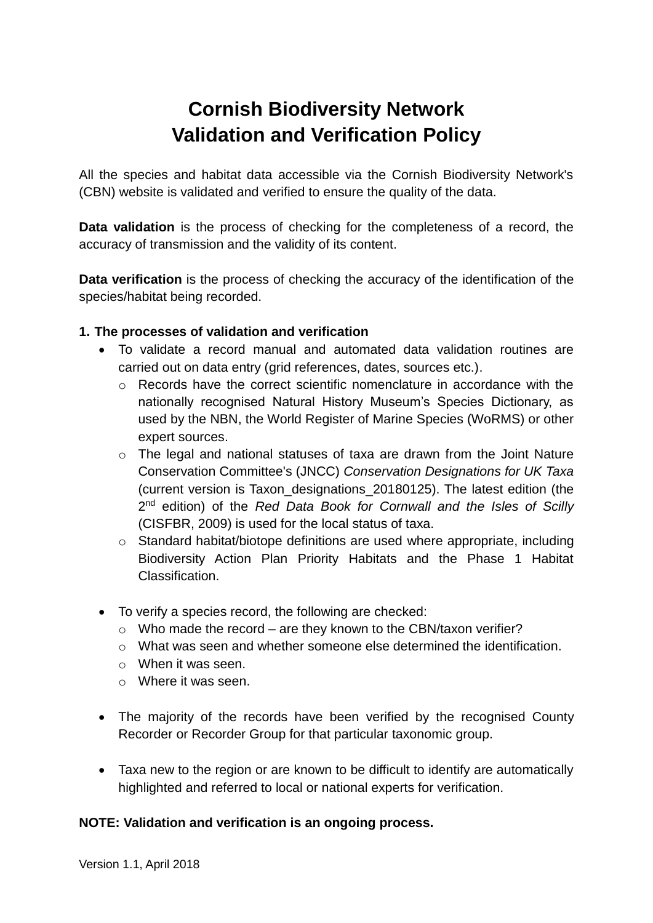## **Cornish Biodiversity Network Validation and Verification Policy**

All the species and habitat data accessible via the Cornish Biodiversity Network's (CBN) website is validated and verified to ensure the quality of the data.

**Data validation** is the process of checking for the completeness of a record, the accuracy of transmission and the validity of its content.

**Data verification** is the process of checking the accuracy of the identification of the species/habitat being recorded.

## **1. The processes of validation and verification**

- To validate a record manual and automated data validation routines are carried out on data entry (grid references, dates, sources etc.).
	- o Records have the correct scientific nomenclature in accordance with the nationally recognised Natural History Museum's Species Dictionary, as used by the NBN, the World Register of Marine Species (WoRMS) or other expert sources.
	- o The legal and national statuses of taxa are drawn from the Joint Nature Conservation Committee's (JNCC) *Conservation Designations for UK Taxa* (current version is Taxon\_designations\_20180125). The latest edition (the 2<sup>nd</sup> edition) of the *Red Data Book for Cornwall and the Isles of Scilly* (CISFBR, 2009) is used for the local status of taxa.
	- o Standard habitat/biotope definitions are used where appropriate, including Biodiversity Action Plan Priority Habitats and the Phase 1 Habitat Classification.
- To verify a species record, the following are checked:
	- $\circ$  Who made the record are they known to the CBN/taxon verifier?
	- o What was seen and whether someone else determined the identification.
	- o When it was seen.
	- o Where it was seen.
- The majority of the records have been verified by the recognised County Recorder or Recorder Group for that particular taxonomic group.
- Taxa new to the region or are known to be difficult to identify are automatically highlighted and referred to local or national experts for verification.

## **NOTE: Validation and verification is an ongoing process.**